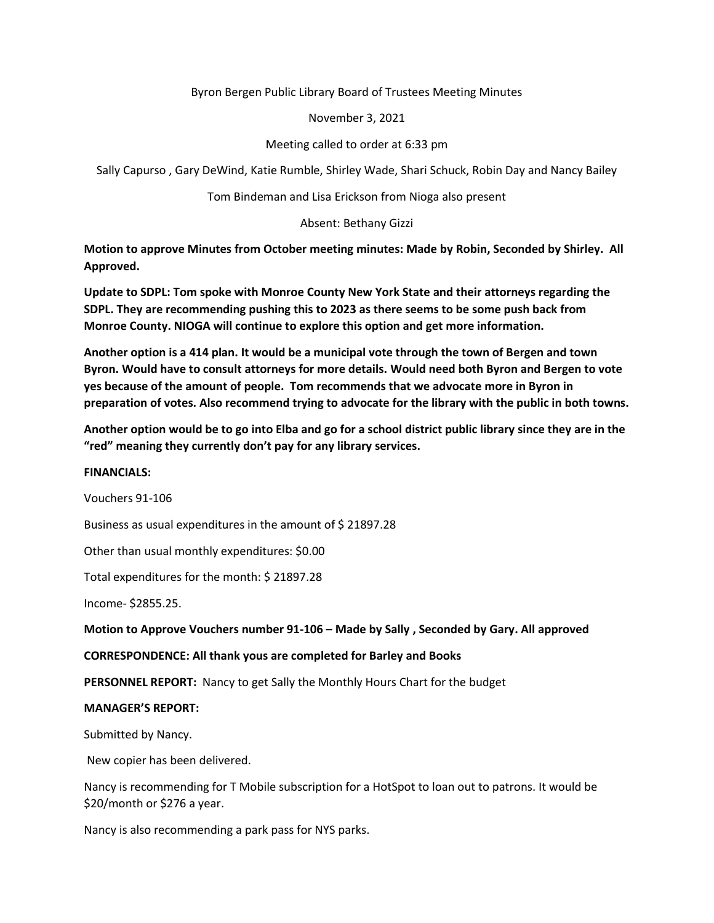Byron Bergen Public Library Board of Trustees Meeting Minutes

November 3, 2021

Meeting called to order at 6:33 pm

Sally Capurso , Gary DeWind, Katie Rumble, Shirley Wade, Shari Schuck, Robin Day and Nancy Bailey

Tom Bindeman and Lisa Erickson from Nioga also present

Absent: Bethany Gizzi

**Motion to approve Minutes from October meeting minutes: Made by Robin, Seconded by Shirley. All Approved.** 

**Update to SDPL: Tom spoke with Monroe County New York State and their attorneys regarding the SDPL. They are recommending pushing this to 2023 as there seems to be some push back from Monroe County. NIOGA will continue to explore this option and get more information.** 

**Another option is a 414 plan. It would be a municipal vote through the town of Bergen and town Byron. Would have to consult attorneys for more details. Would need both Byron and Bergen to vote yes because of the amount of people. Tom recommends that we advocate more in Byron in preparation of votes. Also recommend trying to advocate for the library with the public in both towns.** 

**Another option would be to go into Elba and go for a school district public library since they are in the "red" meaning they currently don't pay for any library services.** 

## **FINANCIALS:**

Vouchers 91-106

Business as usual expenditures in the amount of \$ 21897.28

Other than usual monthly expenditures: \$0.00

Total expenditures for the month: \$ 21897.28

Income- \$2855.25.

**Motion to Approve Vouchers number 91-106 – Made by Sally , Seconded by Gary. All approved** 

## **CORRESPONDENCE: All thank yous are completed for Barley and Books**

**PERSONNEL REPORT:** Nancy to get Sally the Monthly Hours Chart for the budget

## **MANAGER'S REPORT:**

Submitted by Nancy.

New copier has been delivered.

Nancy is recommending for T Mobile subscription for a HotSpot to loan out to patrons. It would be \$20/month or \$276 a year.

Nancy is also recommending a park pass for NYS parks.